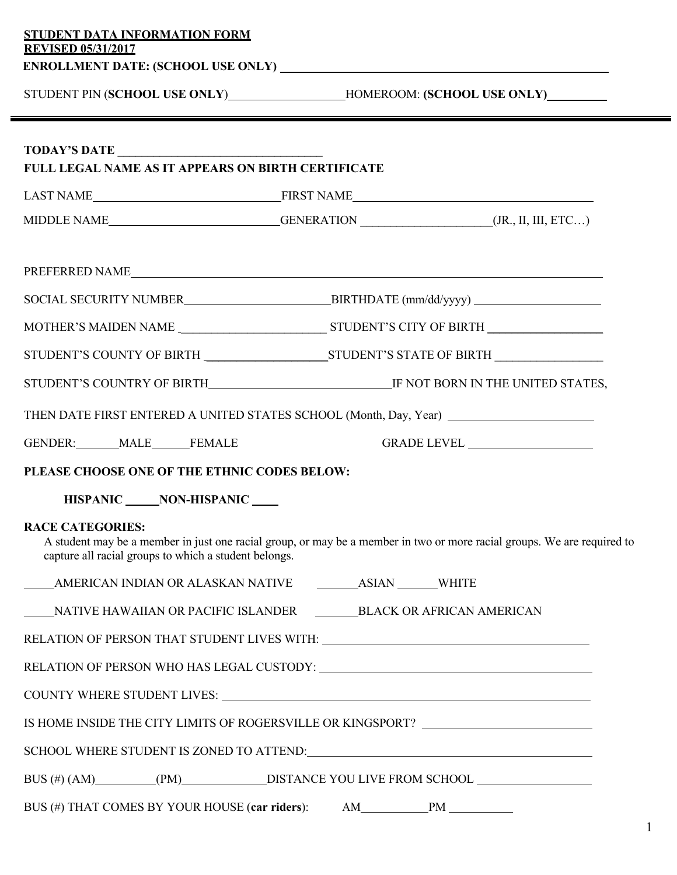|                                                                                  | STUDENT PIN (SCHOOL USE ONLY)________________HOMEROOM: (SCHOOL USE ONLY)_________                                       |  |
|----------------------------------------------------------------------------------|-------------------------------------------------------------------------------------------------------------------------|--|
|                                                                                  |                                                                                                                         |  |
| <b>FULL LEGAL NAME AS IT APPEARS ON BIRTH CERTIFICATE</b>                        |                                                                                                                         |  |
|                                                                                  |                                                                                                                         |  |
|                                                                                  | MIDDLE NAME________________________GENERATION ______________________(JR., II, III, ETC)                                 |  |
|                                                                                  | PREFERRED NAME                                                                                                          |  |
|                                                                                  |                                                                                                                         |  |
|                                                                                  |                                                                                                                         |  |
|                                                                                  |                                                                                                                         |  |
|                                                                                  |                                                                                                                         |  |
|                                                                                  | THEN DATE FIRST ENTERED A UNITED STATES SCHOOL (Month, Day, Year) _______________                                       |  |
| GENDER: MALE FEMALE                                                              |                                                                                                                         |  |
|                                                                                  |                                                                                                                         |  |
| PLEASE CHOOSE ONE OF THE ETHNIC CODES BELOW:                                     |                                                                                                                         |  |
| HISPANIC NON-HISPANIC                                                            |                                                                                                                         |  |
| <b>RACE CATEGORIES:</b><br>capture all racial groups to which a student belongs. | A student may be a member in just one racial group, or may be a member in two or more racial groups. We are required to |  |
|                                                                                  |                                                                                                                         |  |
|                                                                                  | NATIVE HAWAIIAN OR PACIFIC ISLANDER BLACK OR AFRICAN AMERICAN                                                           |  |
|                                                                                  | RELATION OF PERSON THAT STUDENT LIVES WITH: UNITED ACCOUNTS AND THE RELATION OF PERSON THAT STUDENT LIVES WITH:         |  |
|                                                                                  |                                                                                                                         |  |
|                                                                                  | COUNTY WHERE STUDENT LIVES: UNITS: NOTE: 1999                                                                           |  |
|                                                                                  | IS HOME INSIDE THE CITY LIMITS OF ROGERSVILLE OR KINGSPORT? ____________________                                        |  |
|                                                                                  | SCHOOL WHERE STUDENT IS ZONED TO ATTEND:<br><u> </u>                                                                    |  |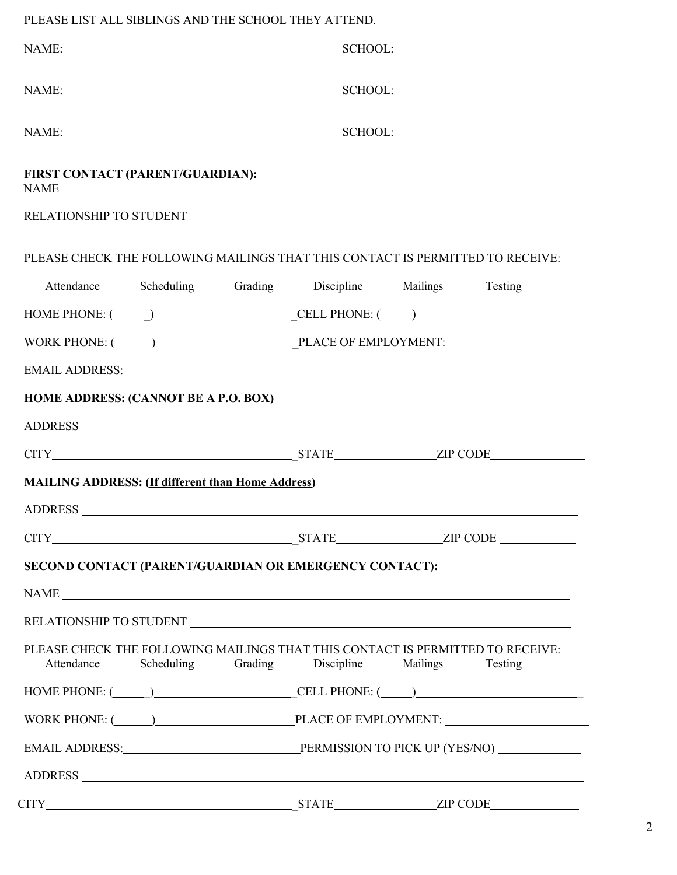PLEASE LIST ALL SIBLINGS AND THE SCHOOL THEY ATTEND.

| $\label{eq:NAME} \text{NAME:}\; \underline{\hspace{2cm}}$ |                                                                                                                                                                                                                                |
|-----------------------------------------------------------|--------------------------------------------------------------------------------------------------------------------------------------------------------------------------------------------------------------------------------|
|                                                           | $\begin{tabular}{c} SCHOOL: \end{tabular}$                                                                                                                                                                                     |
| FIRST CONTACT (PARENT/GUARDIAN):                          |                                                                                                                                                                                                                                |
|                                                           |                                                                                                                                                                                                                                |
|                                                           | PLEASE CHECK THE FOLLOWING MAILINGS THAT THIS CONTACT IS PERMITTED TO RECEIVE:                                                                                                                                                 |
|                                                           | ___Attendance _____Scheduling ____Grading ____Discipline ____Mailings _____Testing                                                                                                                                             |
|                                                           | HOME PHONE: $(\_\_)$ CELL PHONE: $(\_\_)$                                                                                                                                                                                      |
|                                                           | WORK PHONE: (Campbell Contract Contract Contract Contract Contract Contract Contract Contract Contract Contract Contract Contract Contract Contract Contract Contract Contract Contract Contract Contract Contract Contract Co |
|                                                           |                                                                                                                                                                                                                                |
| HOME ADDRESS: (CANNOT BE A P.O. BOX)                      |                                                                                                                                                                                                                                |
|                                                           |                                                                                                                                                                                                                                |
|                                                           |                                                                                                                                                                                                                                |
| <b>MAILING ADDRESS:</b> (If different than Home Address)  |                                                                                                                                                                                                                                |
|                                                           |                                                                                                                                                                                                                                |
|                                                           |                                                                                                                                                                                                                                |
| SECOND CONTACT (PARENT/GUARDIAN OR EMERGENCY CONTACT):    |                                                                                                                                                                                                                                |
|                                                           |                                                                                                                                                                                                                                |
|                                                           |                                                                                                                                                                                                                                |
|                                                           | PLEASE CHECK THE FOLLOWING MAILINGS THAT THIS CONTACT IS PERMITTED TO RECEIVE:<br>____Attendance ________Scheduling _______Grading _______Discipline ______Mailings _______Testing                                             |
|                                                           | HOME PHONE: $(\_\_)$                                                                                                                                                                                                           |
|                                                           | WORK PHONE: (Campbell Contract PLACE OF EMPLOYMENT: Campbell Contract PLACE OF EMPLOYMENT:                                                                                                                                     |
|                                                           |                                                                                                                                                                                                                                |
|                                                           |                                                                                                                                                                                                                                |
|                                                           |                                                                                                                                                                                                                                |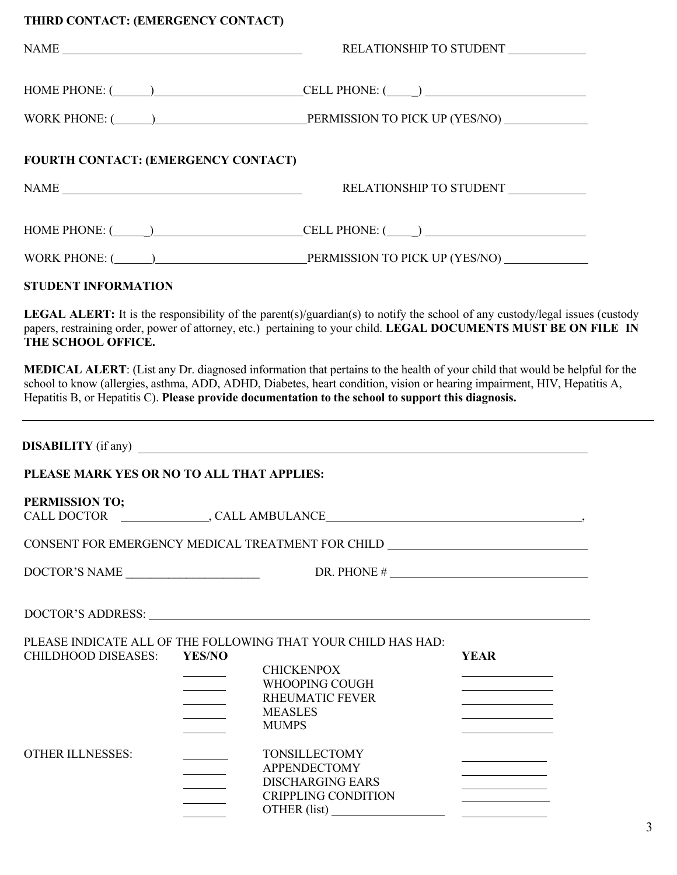| THIRD CONTACT: (EMERGENCY CONTACT)           |                                                                                                                                                                                                                                                                                                                                                                                                                                                                                                                                                                                                                                                                                               |  |  |
|----------------------------------------------|-----------------------------------------------------------------------------------------------------------------------------------------------------------------------------------------------------------------------------------------------------------------------------------------------------------------------------------------------------------------------------------------------------------------------------------------------------------------------------------------------------------------------------------------------------------------------------------------------------------------------------------------------------------------------------------------------|--|--|
|                                              | RELATIONSHIP TO STUDENT<br>$\begin{tabular}{c} \bf{NAME} \end{tabular}$                                                                                                                                                                                                                                                                                                                                                                                                                                                                                                                                                                                                                       |  |  |
|                                              | $HOME PHONE: ($ $)$ $CELL PHONE: ($                                                                                                                                                                                                                                                                                                                                                                                                                                                                                                                                                                                                                                                           |  |  |
|                                              | WORK PHONE: (Campbell Company PERMISSION TO PICK UP (YES/NO)                                                                                                                                                                                                                                                                                                                                                                                                                                                                                                                                                                                                                                  |  |  |
| FOURTH CONTACT: (EMERGENCY CONTACT)          |                                                                                                                                                                                                                                                                                                                                                                                                                                                                                                                                                                                                                                                                                               |  |  |
| $\begin{tabular}{c} \bf{NAME} \end{tabular}$ | RELATIONSHIP TO STUDENT ____________                                                                                                                                                                                                                                                                                                                                                                                                                                                                                                                                                                                                                                                          |  |  |
|                                              | HOME PHONE: $(\_\_)$                                                                                                                                                                                                                                                                                                                                                                                                                                                                                                                                                                                                                                                                          |  |  |
|                                              | WORK PHONE: (Campbell Company PERMISSION TO PICK UP (YES/NO)                                                                                                                                                                                                                                                                                                                                                                                                                                                                                                                                                                                                                                  |  |  |
| <b>STUDENT INFORMATION</b>                   |                                                                                                                                                                                                                                                                                                                                                                                                                                                                                                                                                                                                                                                                                               |  |  |
| THE SCHOOL OFFICE.                           | LEGAL ALERT: It is the responsibility of the parent(s)/guardian(s) to notify the school of any custody/legal issues (custody<br>papers, restraining order, power of attorney, etc.) pertaining to your child. LEGAL DOCUMENTS MUST BE ON FILE IN                                                                                                                                                                                                                                                                                                                                                                                                                                              |  |  |
|                                              | MEDICAL ALERT: (List any Dr. diagnosed information that pertains to the health of your child that would be helpful for the<br>school to know (allergies, asthma, ADD, ADHD, Diabetes, heart condition, vision or hearing impairment, HIV, Hepatitis A,<br>Hepatitis B, or Hepatitis C). Please provide documentation to the school to support this diagnosis.                                                                                                                                                                                                                                                                                                                                 |  |  |
|                                              | <b>DISABILITY</b> (if any)                                                                                                                                                                                                                                                                                                                                                                                                                                                                                                                                                                                                                                                                    |  |  |
| PLEASE MARK YES OR NO TO ALL THAT APPLIES:   |                                                                                                                                                                                                                                                                                                                                                                                                                                                                                                                                                                                                                                                                                               |  |  |
| PERMISSION TO;                               |                                                                                                                                                                                                                                                                                                                                                                                                                                                                                                                                                                                                                                                                                               |  |  |
|                                              | CONSENT FOR EMERGENCY MEDICAL TREATMENT FOR CHILD ______________________________                                                                                                                                                                                                                                                                                                                                                                                                                                                                                                                                                                                                              |  |  |
| DOCTOR'S NAME                                | DR. PHONE $\#$                                                                                                                                                                                                                                                                                                                                                                                                                                                                                                                                                                                                                                                                                |  |  |
|                                              | DOCTOR'S ADDRESS: New York Contact the Contract of the Contract of the Contract of the Contract of the Contract of the Contract of the Contract of the Contract of the Contract of the Contract of the Contract of the Contrac                                                                                                                                                                                                                                                                                                                                                                                                                                                                |  |  |
| <b>CHILDHOOD DISEASES:</b>                   | PLEASE INDICATE ALL OF THE FOLLOWING THAT YOUR CHILD HAS HAD:<br><b>YES/NO</b><br><b>YEAR</b><br><b>CHICKENPOX</b><br><u> 1989 - Johann Barn, mars ann an t-</u><br>WHOOPING COUGH<br><u> 1989 - Johann Barn, fransk politik (</u><br><b>RHEUMATIC FEVER</b><br>$\begin{array}{c} \begin{array}{c} \begin{array}{c} \begin{array}{c} \end{array} \\ \end{array} \end{array} \end{array} \end{array}$<br><b>MEASLES</b><br>$\mathcal{L}(\mathcal{L})$ and $\mathcal{L}(\mathcal{L})$<br><u> 1989 - Johann Barn, mars ann an t-Amhain an t-Amhain an t-Amhain an t-Amhain an t-Amhain an t-Amhain an t-A</u><br><b>MUMPS</b><br><u>and the state</u><br><u> 1989 - Johann Barbara, martxa a</u> |  |  |
| <b>OTHER ILLNESSES:</b>                      | TONSILLECTOMY<br><b>APPENDECTOMY</b><br><u> Liberal Communica</u><br><b>DISCHARGING EARS</b><br><u> 1980 - Johann Barn, fransk politik (</u><br><b>CRIPPLING CONDITION</b>                                                                                                                                                                                                                                                                                                                                                                                                                                                                                                                    |  |  |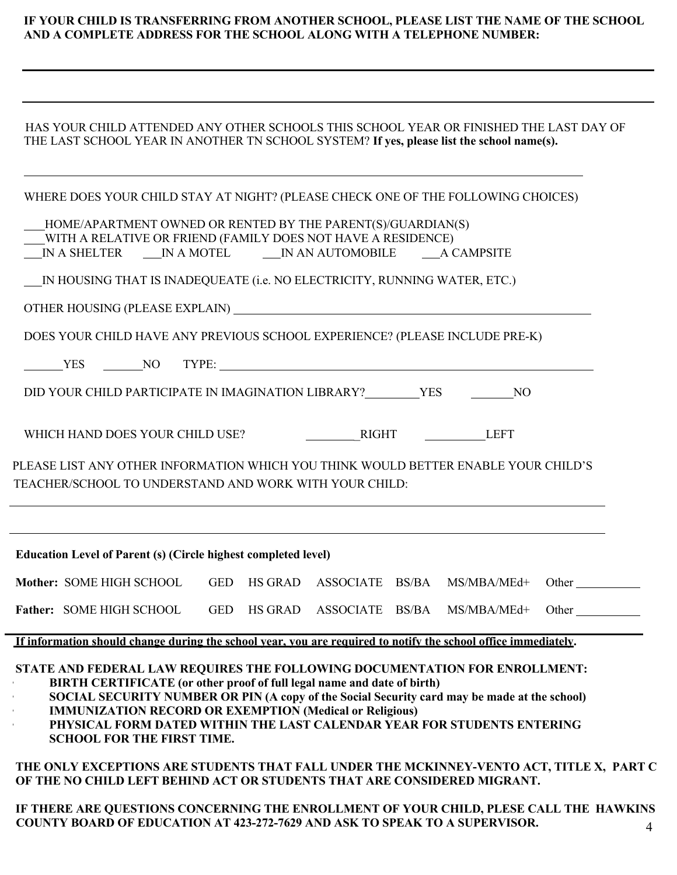## **IF YOUR CHILD IS TRANSFERRING FROM ANOTHER SCHOOL, PLEASE LIST THE NAME OF THE SCHOOL AND A COMPLETE ADDRESS FOR THE SCHOOL ALONG WITH A TELEPHONE NUMBER:**

| HAS YOUR CHILD ATTENDED ANY OTHER SCHOOLS THIS SCHOOL YEAR OR FINISHED THE LAST DAY OF    |
|-------------------------------------------------------------------------------------------|
| THE LAST SCHOOL YEAR IN ANOTHER TN SCHOOL SYSTEM? If yes, please list the school name(s). |

|                                                                       | WHERE DOES YOUR CHILD STAY AT NIGHT? (PLEASE CHECK ONE OF THE FOLLOWING CHOICES)                                                                                                                                                                                                                                        |       |
|-----------------------------------------------------------------------|-------------------------------------------------------------------------------------------------------------------------------------------------------------------------------------------------------------------------------------------------------------------------------------------------------------------------|-------|
|                                                                       | HOME/APARTMENT OWNED OR RENTED BY THE PARENT(S)/GUARDIAN(S)<br>WITH A RELATIVE OR FRIEND (FAMILY DOES NOT HAVE A RESIDENCE)<br>IN A SHELTER IN A MOTEL IN AN AUTOMOBILE A CAMPSITE                                                                                                                                      |       |
|                                                                       | IN HOUSING THAT IS INADEQUEATE (i.e. NO ELECTRICITY, RUNNING WATER, ETC.)                                                                                                                                                                                                                                               |       |
|                                                                       |                                                                                                                                                                                                                                                                                                                         |       |
|                                                                       | DOES YOUR CHILD HAVE ANY PREVIOUS SCHOOL EXPERIENCE? (PLEASE INCLUDE PRE-K)                                                                                                                                                                                                                                             |       |
|                                                                       | VES NO TYPE:                                                                                                                                                                                                                                                                                                            |       |
|                                                                       |                                                                                                                                                                                                                                                                                                                         |       |
|                                                                       |                                                                                                                                                                                                                                                                                                                         |       |
|                                                                       | PLEASE LIST ANY OTHER INFORMATION WHICH YOU THINK WOULD BETTER ENABLE YOUR CHILD'S                                                                                                                                                                                                                                      |       |
|                                                                       | TEACHER/SCHOOL TO UNDERSTAND AND WORK WITH YOUR CHILD:                                                                                                                                                                                                                                                                  |       |
|                                                                       |                                                                                                                                                                                                                                                                                                                         |       |
| <b>Education Level of Parent (s) (Circle highest completed level)</b> |                                                                                                                                                                                                                                                                                                                         |       |
|                                                                       | Mother: SOME HIGH SCHOOL GED HS GRAD ASSOCIATE BS/BA MS/MBA/MEd+                                                                                                                                                                                                                                                        | Other |
| <b>Father: SOME HIGH SCHOOL</b>                                       | GED HS GRAD ASSOCIATE BS/BA MS/MBA/MEd+                                                                                                                                                                                                                                                                                 | Other |
|                                                                       | If information should change during the school year, you are required to notify the school office immediately.                                                                                                                                                                                                          |       |
|                                                                       | STATE AND FEDERAL LAW REQUIRES THE FOLLOWING DOCUMENTATION FOR ENROLLMENT:<br>BIRTH CERTIFICATE (or other proof of full legal name and date of birth)<br>SOCIAL SECURITY NUMBER OR PIN (A copy of the Social Security card may be made at the school)<br><b>IMMUNIZATION RECORD OR EXEMPTION (Medical or Religious)</b> |       |

 **THE ONLY EXCEPTIONS ARE STUDENTS THAT FALL UNDER THE MCKINNEY-VENTO ACT, TITLE X, PART C OF THE NO CHILD LEFT BEHIND ACT OR STUDENTS THAT ARE CONSIDERED MIGRANT.**

**• PHYSICAL FORM DATED WITHIN THE LAST CALENDAR YEAR FOR STUDENTS ENTERING**

**SCHOOL FOR THE FIRST TIME.**

4  **IF THERE ARE QUESTIONS CONCERNING THE ENROLLMENT OF YOUR CHILD, PLESE CALL THE HAWKINS COUNTY BOARD OF EDUCATION AT 423-272-7629 AND ASK TO SPEAK TO A SUPERVISOR.**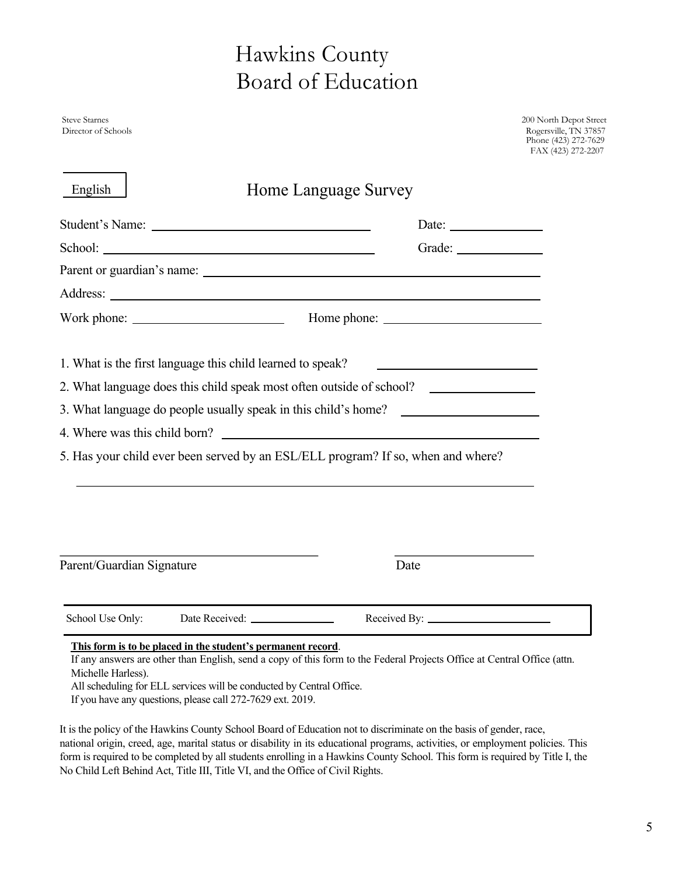# Hawkins County Board of Education

Steve Starnes 200 North Depot Street Director of Schools Rogersville, TN 37857 Phone (423) 272-7629 FAX (423) 272-2207

| Address: <u>New York: Address:</u> New York: 1997          |                                                                                  |
|------------------------------------------------------------|----------------------------------------------------------------------------------|
|                                                            |                                                                                  |
| 1. What is the first language this child learned to speak? |                                                                                  |
|                                                            | 2. What language does this child speak most often outside of school?             |
|                                                            | 3. What language do people usually speak in this child's home? _________________ |
|                                                            | 4. Where was this child born?                                                    |
|                                                            | 5. Has your child ever been served by an ESL/ELL program? If so, when and where? |
|                                                            |                                                                                  |
|                                                            |                                                                                  |
| Parent/Guardian Signature                                  | Date                                                                             |

If any answers are other than English, send a copy of this form to the Federal Projects Office at Central Office (attn. Michelle Harless).

All scheduling for ELL services will be conducted by Central Office.

If you have any questions, please call 272-7629 ext. 2019.

It is the policy of the Hawkins County School Board of Education not to discriminate on the basis of gender, race, national origin, creed, age, marital status or disability in its educational programs, activities, or employment policies. This form is required to be completed by all students enrolling in a Hawkins County School. This form is required by Title I, the No Child Left Behind Act, Title III, Title VI, and the Office of Civil Rights.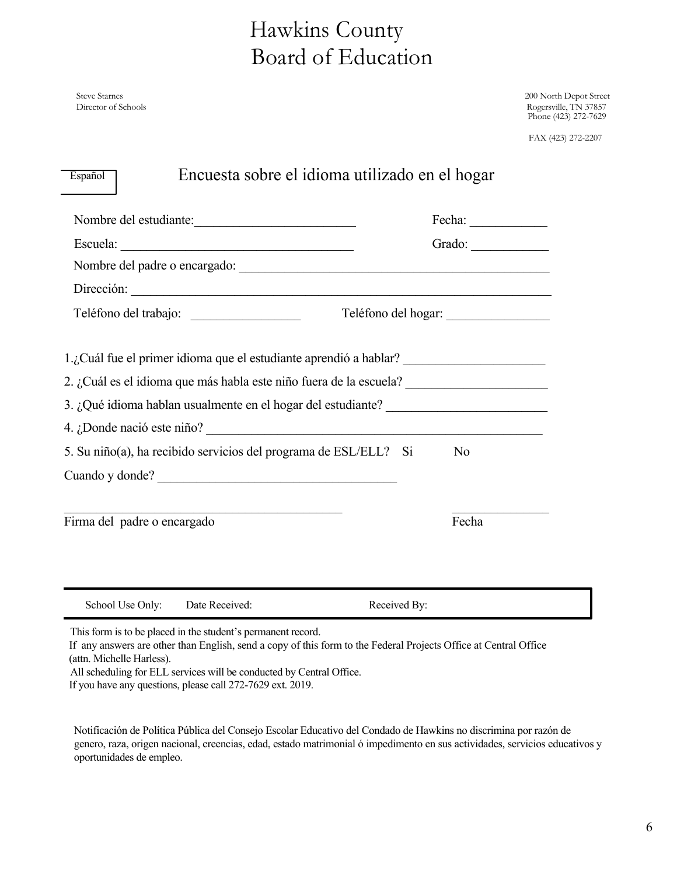## Hawkins County Board of Education

Steve Starnes 200 North Depot Street Director of Schools Rogersville, TN 37857 Phone (423) 272-7629

FAX (423) 272-2207

| Nombre del estudiante:                                                                                                   |                     |
|--------------------------------------------------------------------------------------------------------------------------|---------------------|
|                                                                                                                          | Grado:              |
|                                                                                                                          |                     |
| Dirección:                                                                                                               |                     |
|                                                                                                                          | Teléfono del hogar: |
| 1.¿Cuál fue el primer idioma que el estudiante aprendió a hablar? _______________                                        |                     |
| 2. ¿Cuál es el idioma que más habla este niño fuera de la escuela?                                                       |                     |
| 3. ¿Qué idioma hablan usualmente en el hogar del estudiante? ___________________                                         |                     |
|                                                                                                                          |                     |
| 5. Su niño(a), ha recibido servicios del programa de ESL/ELL? Si                                                         | No                  |
| Cuando y donde?                                                                                                          |                     |
| the control of the control of the control of the control of the control of the control of<br>Firma del padre o encargado | Fecha               |
|                                                                                                                          |                     |

This form is to be placed in the student's permanent record.

If any answers are other than English, send a copy of this form to the Federal Projects Office at Central Office (attn. Michelle Harless).

All scheduling for ELL services will be conducted by Central Office.

If you have any questions, please call 272-7629 ext. 2019.

Notificación de Política Pública del Consejo Escolar Educativo del Condado de Hawkins no discrimina por razón de genero, raza, origen nacional, creencias, edad, estado matrimonial ó impedimento en sus actividades, servicios educativos y oportunidades de empleo.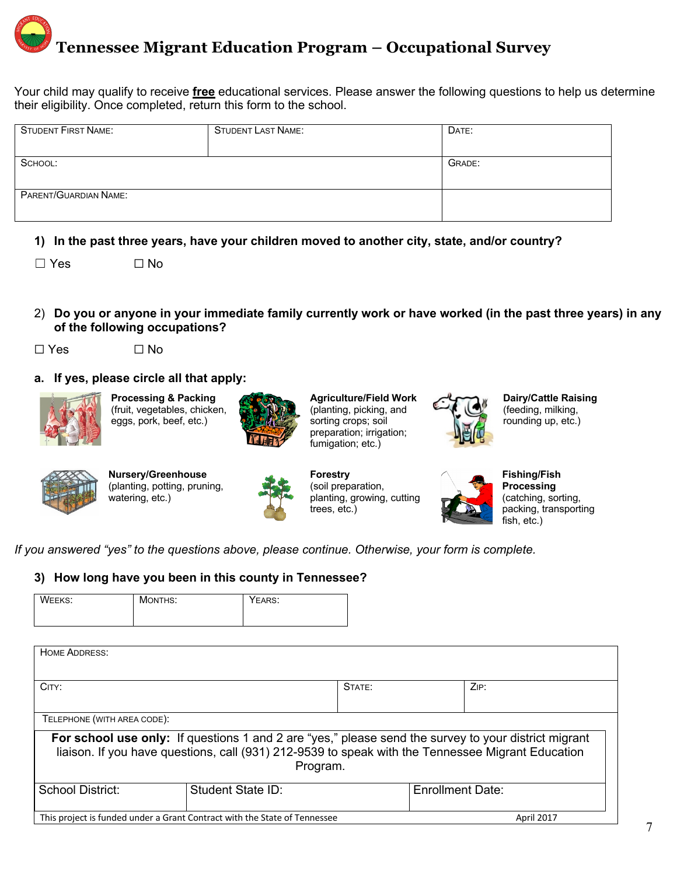# **Tennessee Migrant Education Program – Occupational Survey**

Your child may qualify to receive **free** educational services. Please answer the following questions to help us determine their eligibility. Once completed, return this form to the school.

| <b>STUDENT FIRST NAME:</b> | <b>STUDENT LAST NAME:</b> | DATE:  |
|----------------------------|---------------------------|--------|
|                            |                           |        |
| SCHOOL:                    |                           | GRADE: |
|                            |                           |        |
| PARENT/GUARDIAN NAME:      |                           |        |
|                            |                           |        |

**1) In the past three years, have your children moved to another city, state, and/or country?**

 $\square$  No

- 2) **Do you or anyone in your immediate family currently work or have worked (in the past three years) in any of the following occupations?**
- ☐ Yes ☐ No
	-
- **a. If yes, please circle all that apply:**



**Processing & Packing** (fruit, vegetables, chicken, eggs, pork, beef, etc.)



**Agriculture/Field Work** (planting, picking, and sorting crops; soil preparation; irrigation; fumigation; etc.)



**Dairy/Cattle Raising** (feeding, milking, rounding up, etc.)



**Nursery/Greenhouse** (planting, potting, pruning, watering, etc.)



**Forestry** (soil preparation, planting, growing, cutting trees, etc.)



**Fishing/Fish Processing** (catching, sorting, packing, transporting fish, etc.)

*If you answered "yes" to the questions above, please continue. Otherwise, your form is complete.*

## **3) How long have you been in this county in Tennessee?**

| <b>WEEKS:</b> | MONTHS: | YEARS: |  |
|---------------|---------|--------|--|
|---------------|---------|--------|--|

| HOME ADDRESS:                                                                                        |                   |        |                  |      |
|------------------------------------------------------------------------------------------------------|-------------------|--------|------------------|------|
|                                                                                                      |                   |        |                  |      |
|                                                                                                      |                   |        |                  |      |
|                                                                                                      |                   |        |                  |      |
| CITY:                                                                                                |                   | STATE: |                  | ZIP: |
|                                                                                                      |                   |        |                  |      |
|                                                                                                      |                   |        |                  |      |
| TELEPHONE (WITH AREA CODE):                                                                          |                   |        |                  |      |
|                                                                                                      |                   |        |                  |      |
| For school use only: If questions 1 and 2 are "yes," please send the survey to your district migrant |                   |        |                  |      |
| liaison. If you have questions, call (931) 212-9539 to speak with the Tennessee Migrant Education    |                   |        |                  |      |
|                                                                                                      |                   |        |                  |      |
| Program.                                                                                             |                   |        |                  |      |
|                                                                                                      |                   |        |                  |      |
| <b>School District:</b>                                                                              | Student State ID: |        | Enrollment Date: |      |
|                                                                                                      |                   |        |                  |      |
|                                                                                                      |                   |        |                  |      |
| This project is funded under a Grant Contract with the State of Tennessee<br>April 2017              |                   |        |                  |      |
|                                                                                                      |                   |        |                  |      |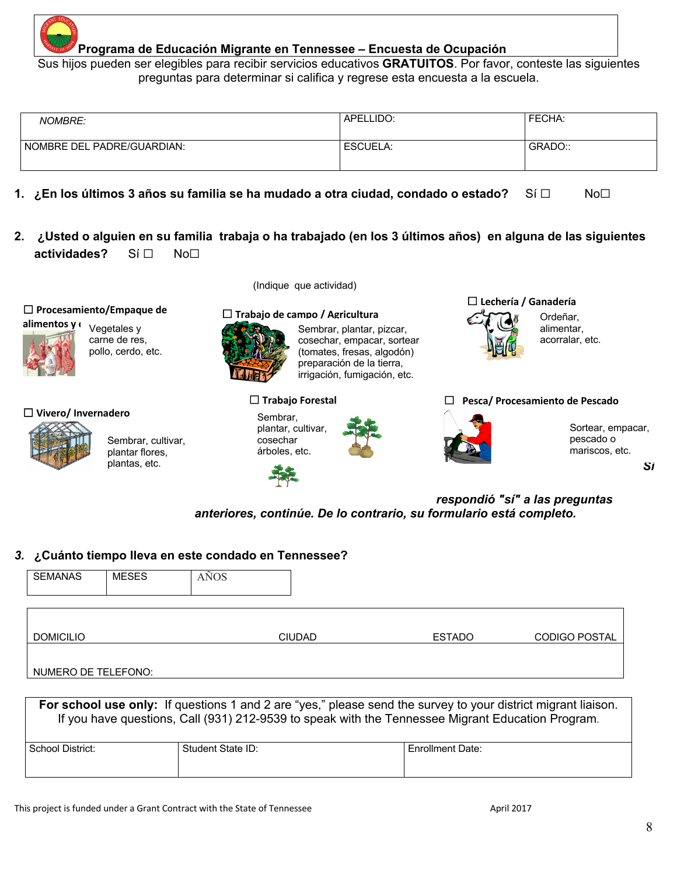

## **Programa de Educación Migrante en Tennessee – Encuesta de Ocupación**

Sus hijos pueden ser elegibles para recibir servicios educativos **GRATUITOS**. Por favor, conteste las siguientes preguntas para determinar si califica y regrese esta encuesta a la escuela.

| <b>NOMBRE:</b>             | APELLIDO: | FECHA:  |
|----------------------------|-----------|---------|
| NOMBRE DEL PADRE/GUARDIAN: | ESCUELA:  | GRADO:: |

- **1. ¿En los últimos 3 años su familia se ha mudado a otra ciudad, condado o estado?** Sí ☐ No☐
- **2. ¿Usted o alguien en su familia trabaja o ha trabajado (en los 3 últimos años) en alguna de las siguientes actividades?** Sí ☐ No☐

☐ **Procesamiento/Empaque de** 

Vegetales y carne de res, pollo, cerdo, etc.

## ☐ **Vivero/ Invernadero**



Sembrar, cultivar, plantar flores, plantas, etc.

(Indique que actividad)

## **alimentos y carnes** ☐ **Trabajo de campo / Agricultura**



Sembrar, plantar, pizcar, cosechar, empacar, sortear (tomates, fresas, algodón) preparación de la tierra, irrigación, fumigación, etc.

#### ☐ **Trabajo Forestal**

Sembrar, plantar, cultivar, cosechar árboles, etc.



## ☐ **Lechería / Ganadería**  Ordeñar, alimentar, acorralar, etc.

#### ☐ **Pesca/ Procesamiento de Pescado**



Sortear, empacar, pescado o mariscos, etc.

*respondió "sí" a las preguntas anteriores, continúe. De lo contrario, su formulario está completo.*

## *3.* **¿Cuánto tiempo lleva en este condado en Tennessee?**

| <b>SEMANAS</b>      | <b>MESES</b> | AÑOS |               |               |                      |
|---------------------|--------------|------|---------------|---------------|----------------------|
|                     |              |      |               |               |                      |
|                     |              |      |               |               |                      |
| <b>DOMICILIO</b>    |              |      | <b>CIUDAD</b> | <b>ESTADO</b> | <b>CODIGO POSTAL</b> |
|                     |              |      |               |               |                      |
| NUMERO DE TELEFONO: |              |      |               |               |                      |

| For school use only: If questions 1 and 2 are "yes," please send the survey to your district migrant liaison.<br>If you have questions, Call (931) 212-9539 to speak with the Tennessee Migrant Education Program. |                   |                         |  |  |  |  |
|--------------------------------------------------------------------------------------------------------------------------------------------------------------------------------------------------------------------|-------------------|-------------------------|--|--|--|--|
| School District:                                                                                                                                                                                                   | Student State ID: | <b>Enrollment Date:</b> |  |  |  |  |